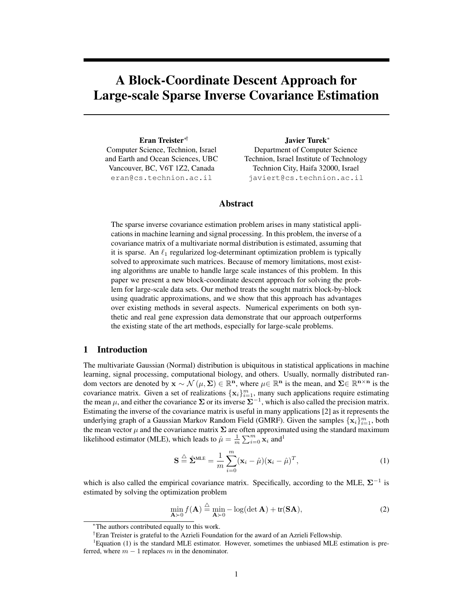# A Block-Coordinate Descent Approach for Large-scale Sparse Inverse Covariance Estimation

Eran Treister∗† Computer Science, Technion, Israel and Earth and Ocean Sciences, UBC Vancouver, BC, V6T 1Z2, Canada eran@cs.technion.ac.il

Javier Turek<sup>∗</sup> Department of Computer Science Technion, Israel Institute of Technology Technion City, Haifa 32000, Israel javiert@cs.technion.ac.il

## Abstract

The sparse inverse covariance estimation problem arises in many statistical applications in machine learning and signal processing. In this problem, the inverse of a covariance matrix of a multivariate normal distribution is estimated, assuming that it is sparse. An  $\ell_1$  regularized log-determinant optimization problem is typically solved to approximate such matrices. Because of memory limitations, most existing algorithms are unable to handle large scale instances of this problem. In this paper we present a new block-coordinate descent approach for solving the problem for large-scale data sets. Our method treats the sought matrix block-by-block using quadratic approximations, and we show that this approach has advantages over existing methods in several aspects. Numerical experiments on both synthetic and real gene expression data demonstrate that our approach outperforms the existing state of the art methods, especially for large-scale problems.

## 1 Introduction

The multivariate Gaussian (Normal) distribution is ubiquitous in statistical applications in machine learning, signal processing, computational biology, and others. Usually, normally distributed random vectors are denoted by  $\mathbf{x} \sim \mathcal{N}(\mu, \Sigma) \in \mathbb{R}^n$ , where  $\mu \in \mathbb{R}^n$  is the mean, and  $\Sigma \in \mathbb{R}^{n \times n}$  is the covariance matrix. Given a set of realizations  $\{x_i\}_{i=1}^m$ , many such applications require estimating the mean  $\mu$ , and either the covariance  $\Sigma$  or its inverse  $\Sigma^{-1}$ , which is also called the precision matrix. Estimating the inverse of the covariance matrix is useful in many applications [2] as it represents the underlying graph of a Gaussian Markov Random Field (GMRF). Given the samples  $\{x_i\}_{i=1}^m$ , both the mean vector  $\mu$  and the covariance matrix  $\Sigma$  are often approximated using the standard maximum likelihood estimator (MLE), which leads to  $\hat{\mu} = \frac{1}{m} \sum_{i=0}^{m} \mathbf{x}_i$  and<sup>1</sup>

$$
\mathbf{S} \stackrel{\triangle}{=} \hat{\mathbf{\Sigma}}^{\text{MLE}} = \frac{1}{m} \sum_{i=0}^{m} (\mathbf{x}_i - \hat{\mu})(\mathbf{x}_i - \hat{\mu})^T,
$$
\n(1)

which is also called the empirical covariance matrix. Specifically, according to the MLE,  $\Sigma^{-1}$  is estimated by solving the optimization problem

$$
\min_{\mathbf{A}\succ 0} f(\mathbf{A}) \stackrel{\triangle}{=} \min_{\mathbf{A}\succ 0} -\log(\det \mathbf{A}) + \text{tr}(\mathbf{S}\mathbf{A}),
$$
\n(2)

<sup>∗</sup>The authors contributed equally to this work.

<sup>†</sup>Eran Treister is grateful to the Azrieli Foundation for the award of an Azrieli Fellowship.

 ${}^{1}$ Equation (1) is the standard MLE estimator. However, sometimes the unbiased MLE estimation is preferred, where  $m - 1$  replaces m in the denominator.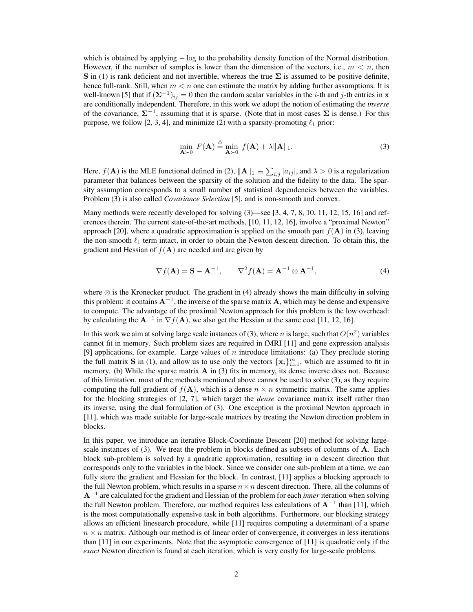which is obtained by applying  $-\log$  to the probability density function of the Normal distribution. However, if the number of samples is lower than the dimension of the vectors, i.e.,  $m < n$ , then S in (1) is rank deficient and not invertible, whereas the true  $\Sigma$  is assumed to be positive definite, hence full-rank. Still, when  $m < n$  one can estimate the matrix by adding further assumptions. It is well-known [5] that if  $(\mathbf{\Sigma}^{-1})_{ij} = 0$  then the random scalar variables in the *i*-th and *j*-th entries in x are conditionally independent. Therefore, in this work we adopt the notion of estimating the *inverse* of the covariance,  $\Sigma^{-1}$ , assuming that it is sparse. (Note that in most cases  $\Sigma$  is dense.) For this purpose, we follow [2, 3, 4], and minimize (2) with a sparsity-promoting  $\ell_1$  prior:

$$
\min_{\mathbf{A}\succ 0} F(\mathbf{A}) \stackrel{\triangle}{=} \min_{\mathbf{A}\succ 0} f(\mathbf{A}) + \lambda \|\mathbf{A}\|_1.
$$
 (3)

Here,  $f(A)$  is the MLE functional defined in (2),  $||A||_1 \equiv \sum_{i,j} |a_{ij}|$ , and  $\lambda > 0$  is a regularization parameter that balances between the sparsity of the solution and the fidelity to the data. The sparsity assumption corresponds to a small number of statistical dependencies between the variables. Problem (3) is also called *Covariance Selection* [5], and is non-smooth and convex.

Many methods were recently developed for solving  $(3)$ —see  $[3, 4, 7, 8, 10, 11, 12, 15, 16]$  and references therein. The current state-of-the-art methods, [10, 11, 12, 16], involve a "proximal Newton" approach [20], where a quadratic approximation is applied on the smooth part  $f(A)$  in (3), leaving the non-smooth  $\ell_1$  term intact, in order to obtain the Newton descent direction. To obtain this, the gradient and Hessian of  $f(A)$  are needed and are given by

$$
\nabla f(\mathbf{A}) = \mathbf{S} - \mathbf{A}^{-1}, \qquad \nabla^2 f(\mathbf{A}) = \mathbf{A}^{-1} \otimes \mathbf{A}^{-1}, \tag{4}
$$

where  $\otimes$  is the Kronecker product. The gradient in (4) already shows the main difficulty in solving this problem: it contains  $A^{-1}$ , the inverse of the sparse matrix A, which may be dense and expensive to compute. The advantage of the proximal Newton approach for this problem is the low overhead: by calculating the  $A^{-1}$  in  $\nabla f(A)$ , we also get the Hessian at the same cost [11, 12, 16].

In this work we aim at solving large scale instances of (3), where n is large, such that  $O(n^2)$  variables cannot fit in memory. Such problem sizes are required in fMRI [11] and gene expression analysis [9] applications, for example. Large values of  $n$  introduce limitations: (a) They preclude storing the full matrix **S** in (1), and allow us to use only the vectors  $\{x_i\}_{i=1}^m$ , which are assumed to fit in memory. (b) While the sparse matrix  $\bf{A}$  in (3) fits in memory, its dense inverse does not. Because of this limitation, most of the methods mentioned above cannot be used to solve (3), as they require computing the full gradient of  $f(A)$ , which is a dense  $n \times n$  symmetric matrix. The same applies for the blocking strategies of [2, 7], which target the *dense* covariance matrix itself rather than its inverse, using the dual formulation of (3). One exception is the proximal Newton approach in [11], which was made suitable for large-scale matrices by treating the Newton direction problem in blocks.

In this paper, we introduce an iterative Block-Coordinate Descent [20] method for solving largescale instances of (3). We treat the problem in blocks defined as subsets of columns of A. Each block sub-problem is solved by a quadratic approximation, resulting in a descent direction that corresponds only to the variables in the block. Since we consider one sub-problem at a time, we can fully store the gradient and Hessian for the block. In contrast, [11] applies a blocking approach to the full Newton problem, which results in a sparse  $n \times n$  descent direction. There, all the columns of A<sup>−</sup><sup>1</sup> are calculated for the gradient and Hessian of the problem for each *inner* iteration when solving the full Newton problem. Therefore, our method requires less calculations of  $A^{-1}$  than [11], which is the most computationally expensive task in both algorithms. Furthermore, our blocking strategy allows an efficient linesearch procedure, while [11] requires computing a determinant of a sparse  $n \times n$  matrix. Although our method is of linear order of convergence, it converges in less iterations than [11] in our experiments. Note that the asymptotic convergence of [11] is quadratic only if the *exact* Newton direction is found at each iteration, which is very costly for large-scale problems.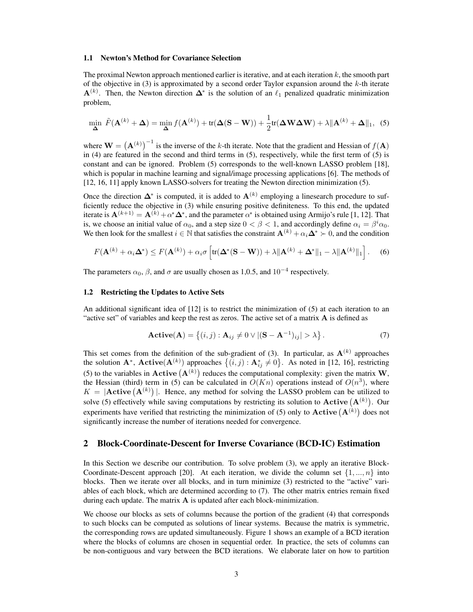#### 1.1 Newton's Method for Covariance Selection

The proximal Newton approach mentioned earlier is iterative, and at each iteration  $k$ , the smooth part of the objective in (3) is approximated by a second order Taylor expansion around the  $k$ -th iterate  $\mathbf{A}^{(k)}$ . Then, the Newton direction  $\mathbf{\Delta}^*$  is the solution of an  $\ell_1$  penalized quadratic minimization problem,

$$
\min_{\mathbf{\Delta}} \tilde{F}(\mathbf{A}^{(k)} + \mathbf{\Delta}) = \min_{\mathbf{\Delta}} f(\mathbf{A}^{(k)}) + \text{tr}(\mathbf{\Delta}(\mathbf{S} - \mathbf{W})) + \frac{1}{2} \text{tr}(\mathbf{\Delta} \mathbf{W} \mathbf{\Delta} \mathbf{W}) + \lambda \|\mathbf{A}^{(k)} + \mathbf{\Delta}\|_{1}, \tag{5}
$$

where  $\mathbf{W} = (\mathbf{A}^{(k)})^{-1}$  is the inverse of the k-th iterate. Note that the gradient and Hessian of  $f(\mathbf{A})$ in (4) are featured in the second and third terms in (5), respectively, while the first term of (5) is constant and can be ignored. Problem (5) corresponds to the well-known LASSO problem [18], which is popular in machine learning and signal/image processing applications [6]. The methods of [12, 16, 11] apply known LASSO-solvers for treating the Newton direction minimization (5).

Once the direction  $\Delta^*$  is computed, it is added to  $A^{(k)}$  employing a linesearch procedure to sufficiently reduce the objective in (3) while ensuring positive definiteness. To this end, the updated iterate is  $\mathbf{A}^{(k+1)} = \mathbf{A}^{(k)} + \alpha^* \mathbf{\Delta}^*$ , and the parameter  $\alpha^*$  is obtained using Armijo's rule [1, 12]. That is, we choose an initial value of  $\alpha_0$ , and a step size  $0 < \beta < 1$ , and accordingly define  $\alpha_i = \beta^i \alpha_0$ . We then look for the smallest  $i \in \mathbb{N}$  that satisfies the constraint  $\mathbf{A}^{(k)} + \alpha_i \mathbf{\Delta}^* \succ 0$ , and the condition

$$
F(\mathbf{A}^{(k)} + \alpha_i \mathbf{\Delta}^*) \le F(\mathbf{A}^{(k)}) + \alpha_i \sigma \left[ \text{tr}(\mathbf{\Delta}^*(\mathbf{S} - \mathbf{W})) + \lambda \|\mathbf{A}^{(k)} + \mathbf{\Delta}^*\|_1 - \lambda \|\mathbf{A}^{(k)}\|_1 \right].
$$
 (6)

The parameters  $\alpha_0$ ,  $\beta$ , and  $\sigma$  are usually chosen as 1,0.5, and 10<sup>-4</sup> respectively.

## 1.2 Restricting the Updates to Active Sets

An additional significant idea of [12] is to restrict the minimization of (5) at each iteration to an "active set" of variables and keep the rest as zeros. The active set of a matrix  $\bf{A}$  is defined as

$$
\mathbf{Active}(\mathbf{A}) = \left\{ (i, j) : \mathbf{A}_{ij} \neq 0 \vee |(\mathbf{S} - \mathbf{A}^{-1})_{ij}| > \lambda \right\}.
$$
 (7)

This set comes from the definition of the sub-gradient of (3). In particular, as  $\mathbf{A}^{(k)}$  approaches the solution  $\mathbf{A}^*$ ,  $\mathbf{Active}(\mathbf{A}^{(k)})$  approaches  $\{(i,j): \mathbf{A}_{ij}^* \neq 0\}$ . As noted in [12, 16], restricting (5) to the variables in **Active**  $(A^{(k)})$  reduces the computational complexity: given the matrix **W**, the Hessian (third) term in (5) can be calculated in  $O(Kn)$  operations instead of  $O(n^3)$ , where  $K = |$ **Active**  $(A^{(k)})|$ . Hence, any method for solving the LASSO problem can be utilized to solve (5) effectively while saving computations by restricting its solution to  $\text{Active}(\mathbf{A}^{(k)})$ . Our experiments have verified that restricting the minimization of (5) only to  $\textbf{Active}(\mathbf{A}^{(k)})$  does not significantly increase the number of iterations needed for convergence.

## 2 Block-Coordinate-Descent for Inverse Covariance (BCD-IC) Estimation

In this Section we describe our contribution. To solve problem (3), we apply an iterative Block-Coordinate-Descent approach [20]. At each iteration, we divide the column set  $\{1, ..., n\}$  into blocks. Then we iterate over all blocks, and in turn minimize (3) restricted to the "active" variables of each block, which are determined according to (7). The other matrix entries remain fixed during each update. The matrix  $A$  is updated after each block-minimization.

We choose our blocks as sets of columns because the portion of the gradient (4) that corresponds to such blocks can be computed as solutions of linear systems. Because the matrix is symmetric, the corresponding rows are updated simultaneously. Figure 1 shows an example of a BCD iteration where the blocks of columns are chosen in sequential order. In practice, the sets of columns can be non-contiguous and vary between the BCD iterations. We elaborate later on how to partition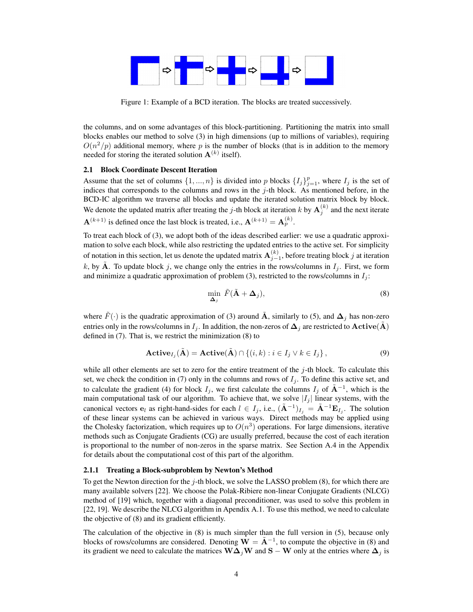

Figure 1: Example of a BCD iteration. The blocks are treated successively.

the columns, and on some advantages of this block-partitioning. Partitioning the matrix into small blocks enables our method to solve (3) in high dimensions (up to millions of variables), requiring  $O(n^2/p)$  additional memory, where p is the number of blocks (that is in addition to the memory needed for storing the iterated solution  $A^{(k)}$  itself).

## 2.1 Block Coordinate Descent Iteration

Assume that the set of columns  $\{1, ..., n\}$  is divided into p blocks  $\{I_j\}_{j=1}^p$ , where  $I_j$  is the set of indices that corresponds to the columns and rows in the  $j$ -th block. As mentioned before, in the BCD-IC algorithm we traverse all blocks and update the iterated solution matrix block by block. We denote the updated matrix after treating the j-th block at iteration k by  $\mathbf{A}_j^{(k)}$  and the next iterate  $\mathbf{A}^{(k+1)}$  is defined once the last block is treated, i.e.,  $\mathbf{A}^{(k+1)} = \mathbf{A}_p^{(k)}$ .

To treat each block of (3), we adopt both of the ideas described earlier: we use a quadratic approximation to solve each block, while also restricting the updated entries to the active set. For simplicity of notation in this section, let us denote the updated matrix  ${\bf A}_{j-1}^{(k)}$ , before treating block j at iteration k, by  $\tilde{A}$ . To update block j, we change only the entries in the rows/columns in  $I_j$ . First, we form and minimize a quadratic approximation of problem (3), restricted to the rows/columns in  $I_j$ :

$$
\min_{\mathbf{\Delta}_j} \ \tilde{F}(\tilde{\mathbf{A}} + \mathbf{\Delta}_j), \tag{8}
$$

where  $\tilde{F}(\cdot)$  is the quadratic approximation of (3) around  $\tilde{A}$ , similarly to (5), and  $\Delta_j$  has non-zero entries only in the rows/columns in  $I_j$ . In addition, the non-zeros of  $\Delta_j$  are restricted to  $\text{Active}(\tilde{A})$ defined in (7). That is, we restrict the minimization (8) to

$$
\mathbf{Active}_{I_j}(\tilde{\mathbf{A}}) = \mathbf{Active}(\tilde{\mathbf{A}}) \cap \{ (i,k) : i \in I_j \lor k \in I_j \},\tag{9}
$$

while all other elements are set to zero for the entire treatment of the  $j$ -th block. To calculate this set, we check the condition in (7) only in the columns and rows of  $I_i$ . To define this active set, and to calculate the gradient (4) for block  $I_j$ , we first calculate the columns  $I_j$  of  $\tilde{A}^{-1}$ , which is the main computational task of our algorithm. To achieve that, we solve  $|I_j|$  linear systems, with the canonical vectors  $e_l$  as right-hand-sides for each  $l \in I_j$ , i.e.,  $(\tilde{\mathbf{A}}^{-1})_{I_j} = \tilde{\mathbf{A}}^{-1} \mathbf{E}_{I_j}$ . The solution of these linear systems can be achieved in various ways. Direct methods may be applied using the Cholesky factorization, which requires up to  $O(n^3)$  operations. For large dimensions, iterative methods such as Conjugate Gradients (CG) are usually preferred, because the cost of each iteration is proportional to the number of non-zeros in the sparse matrix. See Section A.4 in the Appendix for details about the computational cost of this part of the algorithm.

#### 2.1.1 Treating a Block-subproblem by Newton's Method

To get the Newton direction for the  $j$ -th block, we solve the LASSO problem (8), for which there are many available solvers [22]. We choose the Polak-Ribiere non-linear Conjugate Gradients (NLCG) method of [19] which, together with a diagonal preconditioner, was used to solve this problem in [22, 19]. We describe the NLCG algorithm in Apendix A.1. To use this method, we need to calculate the objective of (8) and its gradient efficiently.

The calculation of the objective in (8) is much simpler than the full version in (5), because only blocks of rows/columns are considered. Denoting  $\mathbf{W} = \tilde{\mathbf{A}}^{-1}$ , to compute the objective in (8) and its gradient we need to calculate the matrices W $\Delta_j$ W and S – W only at the entries where  $\Delta_j$  is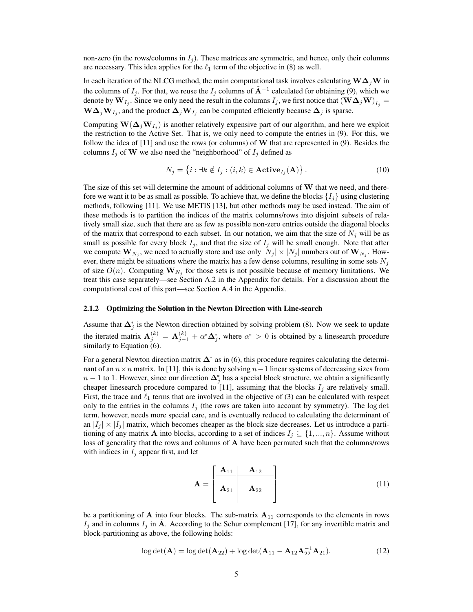non-zero (in the rows/columns in  $I_i$ ). These matrices are symmetric, and hence, only their columns are necessary. This idea applies for the  $\ell_1$  term of the objective in (8) as well.

In each iteration of the NLCG method, the main computational task involves calculating  $\mathbf{W}\Delta_i\mathbf{W}$  in the columns of  $I_j$ . For that, we reuse the  $I_j$  columns of  $\tilde{A}^{-1}$  calculated for obtaining (9), which we denote by  $\mathbf{W}_{I_j}.$  Since we only need the result in the columns  $I_j,$  we first notice that  $(\mathbf{W}\boldsymbol{\Delta}_j\mathbf{W})_{I_j}=$  $\mathbf{W}\mathbf{\Delta}_j\mathbf{W}_{I_j}$ , and the product  $\mathbf{\Delta}_j\mathbf{W}_{I_j}$  can be computed efficiently because  $\mathbf{\Delta}_j$  is sparse.

Computing  $\mathbf{W}(\mathbf{\Delta}_j \mathbf{W}_{I_j})$  is another relatively expensive part of our algorithm, and here we exploit the restriction to the Active Set. That is, we only need to compute the entries in (9). For this, we follow the idea of [11] and use the rows (or columns) of W that are represented in (9). Besides the columns  $I_j$  of W we also need the "neighborhood" of  $I_j$  defined as

$$
N_j = \left\{ i : \exists k \notin I_j : (i,k) \in \mathbf{Active}_{I_j}(\mathbf{A}) \right\}.
$$
 (10)

The size of this set will determine the amount of additional columns of  $W$  that we need, and therefore we want it to be as small as possible. To achieve that, we define the blocks  $\{I_i\}$  using clustering methods, following [11]. We use METIS [13], but other methods may be used instead. The aim of these methods is to partition the indices of the matrix columns/rows into disjoint subsets of relatively small size, such that there are as few as possible non-zero entries outside the diagonal blocks of the matrix that correspond to each subset. In our notation, we aim that the size of  $N_i$  will be as small as possible for every block  $I_j$ , and that the size of  $I_j$  will be small enough. Note that after we compute  $\mathbf{W}_{N_j}$ , we need to actually store and use only  $|N_j| \times |N_j|$  numbers out of  $\mathbf{W}_{N_j}$ . However, there might be situations where the matrix has a few dense columns, resulting in some sets  $N_j$ of size  $O(n)$ . Computing  $\mathbf{W}_{N_j}$  for those sets is not possible because of memory limitations. We treat this case separately—see Section A.2 in the Appendix for details. For a discussion about the computational cost of this part—see Section A.4 in the Appendix.

#### 2.1.2 Optimizing the Solution in the Newton Direction with Line-search

Assume that  $\Delta_i^*$  is the Newton direction obtained by solving problem (8). Now we seek to update j the iterated matrix  $A_j^{(k)} = A_{j-1}^{(k)} + \alpha^* \Delta_j^*$ , where  $\alpha^* > 0$  is obtained by a linesearch procedure similarly to Equation (6).

For a general Newton direction matrix  $\Delta^*$  as in (6), this procedure requires calculating the determinant of an  $n \times n$  matrix. In [11], this is done by solving  $n-1$  linear systems of decreasing sizes from  $n-1$  to 1. However, since our direction  $\Delta_j^*$  has a special block structure, we obtain a significantly cheaper linesearch procedure compared to [11], assuming that the blocks  $I_j$  are relatively small. First, the trace and  $\ell_1$  terms that are involved in the objective of (3) can be calculated with respect only to the entries in the columns  $I_j$  (the rows are taken into account by symmetry). The log det term, however, needs more special care, and is eventually reduced to calculating the determinant of an  $|I_i| \times |I_i|$  matrix, which becomes cheaper as the block size decreases. Let us introduce a partitioning of any matrix A into blocks, according to a set of indices  $I_j \subseteq \{1, ..., n\}$ . Assume without loss of generality that the rows and columns of A have been permuted such that the columns/rows with indices in  $I_i$  appear first, and let

$$
\mathbf{A} = \begin{bmatrix} \mathbf{A}_{11} & \mathbf{A}_{12} \\ \mathbf{A}_{21} & \mathbf{A}_{22} \end{bmatrix} \tag{11}
$$

be a partitioning of A into four blocks. The sub-matrix  $A_{11}$  corresponds to the elements in rows  $I_j$  and in columns  $I_j$  in A. According to the Schur complement [17], for any invertible matrix and block-partitioning as above, the following holds:

$$
\log \det(\mathbf{A}) = \log \det(\mathbf{A}_{22}) + \log \det(\mathbf{A}_{11} - \mathbf{A}_{12}\mathbf{A}_{22}^{-1}\mathbf{A}_{21}).
$$
\n(12)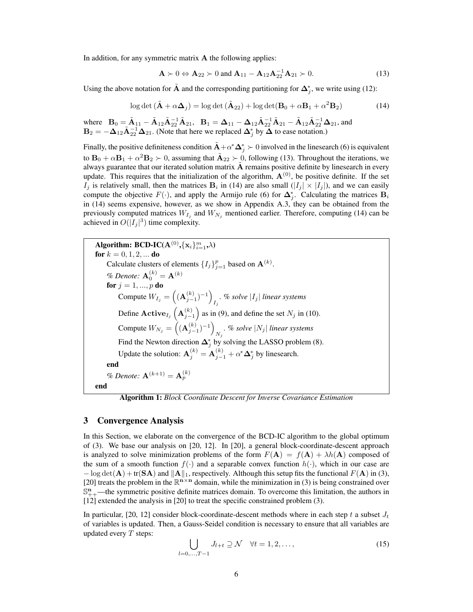In addition, for any symmetric matrix  $A$  the following applies:

$$
\mathbf{A} \succ 0 \Leftrightarrow \mathbf{A}_{22} \succ 0 \text{ and } \mathbf{A}_{11} - \mathbf{A}_{12} \mathbf{A}_{22}^{-1} \mathbf{A}_{21} \succ 0. \tag{13}
$$

Using the above notation for  $\tilde{A}$  and the corresponding partitioning for  $\Delta_j^*$ , we write using (12):

$$
\log \det (\tilde{\mathbf{A}} + \alpha \Delta_j) = \log \det (\tilde{\mathbf{A}}_{22}) + \log \det (\mathbf{B}_0 + \alpha \mathbf{B}_1 + \alpha^2 \mathbf{B}_2)
$$
(14)

where  $B_0 = \tilde{A}_{11} - \tilde{A}_{12}\tilde{A}_{22}^{-1}\tilde{A}_{21}$ ,  $B_1 = \Delta_{11} - \Delta_{12}\tilde{A}_{22}^{-1}\tilde{A}_{21} - \tilde{A}_{12}\tilde{A}_{22}^{-1}\Delta_{21}$ , and  $B_2 = -\Delta_{12} \tilde{A}_{22}^{-1} \Delta_{21}$ . (Note that here we replaced  $\Delta_j^*$  by  $\tilde{\Delta}$  to ease notation.)

Finally, the positive definiteness condition  $\tilde{A}+\alpha^*\Delta_j^* \succ 0$  involved in the linesearch (6) is equivalent to  $\mathbf{B}_0 + \alpha \mathbf{B}_1 + \alpha^2 \mathbf{B}_2 \succ 0$ , assuming that  $\tilde{\mathbf{A}}_{22} \succ 0$ , following (13). Throughout the iterations, we always guarantee that our iterated solution matrix A remains positive definite by linesearch in every update. This requires that the initialization of the algorithm,  $\mathbf{A}^{(0)}$ , be positive definite. If the set  $I_j$  is relatively small, then the matrices  $B_i$  in (14) are also small  $(|I_j| \times |I_j|)$ , and we can easily compute the objective  $F(\cdot)$ , and apply the Armijo rule (6) for  $\Delta_j^*$ . Calculating the matrices  $B_i$ in (14) seems expensive, however, as we show in Appendix A.3, they can be obtained from the previously computed matrices  $W_{I_j}$  and  $W_{N_j}$  mentioned earlier. Therefore, computing (14) can be achieved in  $O(|I_j|^3)$  time complexity.

Algorithm: BCD-IC( $\mathbf{A}^{(0)},\!\{\mathbf{x}_i\}_{i=1}^m, \!\lambda)$ for  $k = 0, 1, 2, ...$  do Calculate clusters of elements  $\{I_j\}_{j=1}^p$  based on  $\mathbf{A}^{(k)}$ . % Denote:  ${\bf A}_0^{(k)}={\bf A}^{(k)}$ for  $j=1,...,p$  do Compute  $W_{I_j} = \left( (\mathbf{A}_{j-1}^{(k)})^{-1} \right)$  $\sum_{I_j}$  *% solve*  $|I_j|$  *linear systems* Define  $\mathbf{Active}_{I_j}\left(\mathbf{A}_{j-1}^{(k)}\right)$  as in (9), and define the set  $N_j$  in (10). Compute  $W_{N_j} = \left( (\mathbf{A}_{j-1}^{(k)})^{-1} \right)$  $\sum_{N_j}$ . % solve  $|N_j|$  *linear systems* Find the Newton direction  $\Delta_j^*$  by solving the LASSO problem (8). Update the solution:  $\mathbf{A}_{j}^{(k)} = \mathbf{A}_{j-1}^{(k)} + \alpha^* \mathbf{\Delta}_j^*$  by linesearch. end % Denote:  ${\bf A}^{(k+1)}={\bf A}^{(k)}_p$ end

Algorithm 1: *Block Coordinate Descent for Inverse Covariance Estimation*

## 3 Convergence Analysis

In this Section, we elaborate on the convergence of the BCD-IC algorithm to the global optimum of (3). We base our analysis on [20, 12]. In [20], a general block-coordinate-descent approach is analyzed to solve minimization problems of the form  $F(A) = f(A) + \lambda h(A)$  composed of the sum of a smooth function  $f(\cdot)$  and a separable convex function  $h(\cdot)$ , which in our case are  $-\log \det(A) + \text{tr}(SA)$  and  $||A||_1$ , respectively. Although this setup fits the functional  $F(A)$  in (3), [20] treats the problem in the  $\mathbb{R}^{n \times n}$  domain, while the minimization in (3) is being constrained over  $\mathbb{S}_{++}^n$ —the symmetric positive definite matrices domain. To overcome this limitation, the authors in [12] extended the analysis in [20] to treat the specific constrained problem (3).

In particular, [20, 12] consider block-coordinate-descent methods where in each step t a subset  $J_t$ of variables is updated. Then, a Gauss-Seidel condition is necessary to ensure that all variables are updated every  $T$  steps:

$$
\bigcup_{l=0,\dots,T-1} J_{l+t} \supseteq \mathcal{N} \quad \forall t = 1,2,\dots,\tag{15}
$$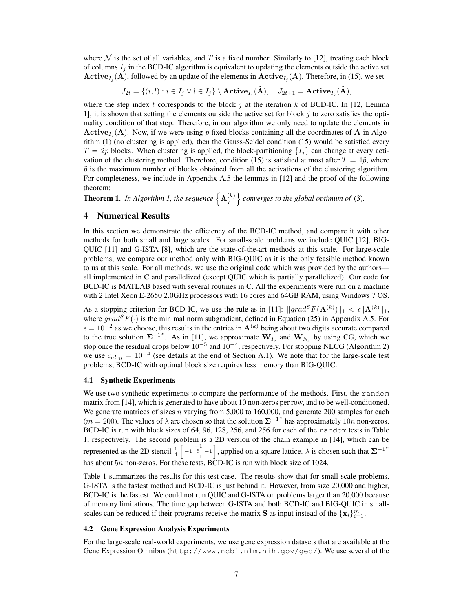where  $N$  is the set of all variables, and T is a fixed number. Similarly to [12], treating each block of columns  $I_j$  in the BCD-IC algorithm is equivalent to updating the elements outside the active set  $\mathbf{Active}_{I_j}(\mathbf{A})$ , followed by an update of the elements in  $\mathbf{Active}_{I_j}(\mathbf{A})$ . Therefore, in (15), we set

 $J_{2t} = \{(i, l) : i \in I_j \lor l \in I_j\} \setminus \textbf{Active}_{I_j}(\tilde{\textbf{A}}), \quad J_{2t+1} = \textbf{Active}_{I_j}(\tilde{\textbf{A}}),$ 

where the step index t corresponds to the block j at the iteration k of BCD-IC. In [12, Lemma 1], it is shown that setting the elements outside the active set for block  $j$  to zero satisfies the optimality condition of that step. Therefore, in our algorithm we only need to update the elements in **Active**<sub> $I_j$ </sub>(**A**). Now, if we were using p fixed blocks containing all the coordinates of **A** in Algorithm (1) (no clustering is applied), then the Gauss-Seidel condition (15) would be satisfied every  $T = 2p$  blocks. When clustering is applied, the block-partitioning  $\{I_j\}$  can change at every activation of the clustering method. Therefore, condition (15) is satisfied at most after  $T = 4\tilde{p}$ , where  $\tilde{p}$  is the maximum number of blocks obtained from all the activations of the clustering algorithm. For completeness, we include in Appendix A.5 the lemmas in [12] and the proof of the following theorem:

**Theorem 1.** In Algorithm 1, the sequence  $\left\{ \mathbf{A}_{j}^{(k)} \right\}$  converges to the global optimum of (3).

# 4 Numerical Results

In this section we demonstrate the efficiency of the BCD-IC method, and compare it with other methods for both small and large scales. For small-scale problems we include QUIC [12], BIG-QUIC [11] and G-ISTA [8], which are the state-of-the-art methods at this scale. For large-scale problems, we compare our method only with BIG-QUIC as it is the only feasible method known to us at this scale. For all methods, we use the original code which was provided by the authors all implemented in C and parallelized (except QUIC which is partially parallelized). Our code for BCD-IC is MATLAB based with several routines in C. All the experiments were run on a machine with 2 Intel Xeon E-2650 2.0GHz processors with 16 cores and 64GB RAM, using Windows 7 OS.

As a stopping criterion for BCD-IC, we use the rule as in [11]:  $\|grad^S F(\mathbf{A}^{(k)})\|_1 < \epsilon \|\mathbf{A}^{(k)}\|_1$ , where  $grad^S F(\cdot)$  is the minimal norm subgradient, defined in Equation (25) in Appendix A.5. For  $\epsilon = 10^{-2}$  as we choose, this results in the entries in  $\mathbf{A}^{(k)}$  being about two digits accurate compared to the true solution  $\Sigma^{-1}$ <sup>\*</sup>. As in [11], we approximate  $W_{I_j}$  and  $W_{N_j}$  by using CG, which we stop once the residual drops below  $10^{-5}$  and  $10^{-4}$ , respectively. For stopping NLCG (Algorithm 2) we use  $\epsilon_{nlcg} = 10^{-4}$  (see details at the end of Section A.1). We note that for the large-scale test problems, BCD-IC with optimal block size requires less memory than BIG-QUIC.

## 4.1 Synthetic Experiments

We use two synthetic experiments to compare the performance of the methods. First, the random matrix from [14], which is generated to have about 10 non-zeros per row, and to be well-conditioned. We generate matrices of sizes  $n$  varying from 5,000 to 160,000, and generate 200 samples for each  $(m = 200)$ . The values of  $\lambda$  are chosen so that the solution  $\Sigma^{-1}$ <sup>\*</sup> has approximately  $10n$  non-zeros. BCD-IC is run with block sizes of 64, 96, 128, 256, and 256 for each of the random tests in Table 1, respectively. The second problem is a 2D version of the chain example in [14], which can be represented as the 2D stencil  $\frac{1}{4}$   $\begin{bmatrix} -1 & -1 \\ -1 & 5 \\ -1 & -1 \end{bmatrix}$  $\big]$ , applied on a square lattice.  $\lambda$  is chosen such that  $\mathbf{\Sigma}^{-1*}$ has about  $5n$  non-zeros. For these tests, BCD-IC is run with block size of 1024.

Table 1 summarizes the results for this test case. The results show that for small-scale problems, G-ISTA is the fastest method and BCD-IC is just behind it. However, from size 20,000 and higher, BCD-IC is the fastest. We could not run QUIC and G-ISTA on problems larger than 20,000 because of memory limitations. The time gap between G-ISTA and both BCD-IC and BIG-QUIC in smallscales can be reduced if their programs receive the matrix **S** as input instead of the  $\{x_i\}_{i=1}^m$ .

#### 4.2 Gene Expression Analysis Experiments

For the large-scale real-world experiments, we use gene expression datasets that are available at the Gene Expression Omnibus (http://www.ncbi.nlm.nih.gov/geo/). We use several of the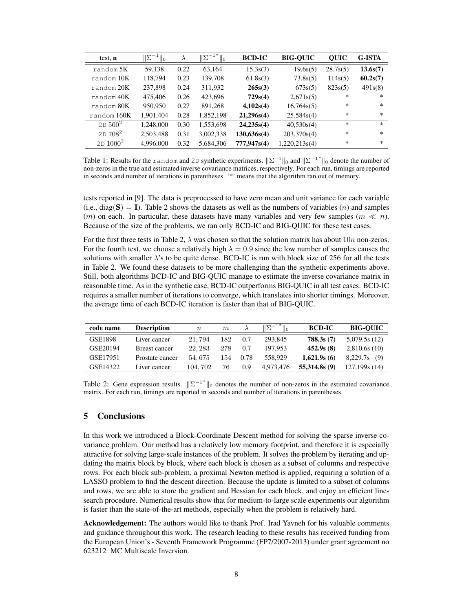| test, n          | $\ \Sigma^{-1}\ $<br>$\mathbf{u}$ | $\lambda$ | $\ \Sigma^{-1*}\ _0$ | <b>BCD-IC</b> | <b>BIG-OUIC</b> | <b>OUIC</b> | G-ISTA   |
|------------------|-----------------------------------|-----------|----------------------|---------------|-----------------|-------------|----------|
| $r$ and om $5K$  | 59,138                            | 0.22      | 63.164               | 15.3s(3)      | 19.6s(5)        | 28.7s(5)    | 13.6s(7) |
| $r$ andom $10K$  | 118,794                           | 0.23      | 139,708              | 61.8s(3)      | 73.8s(5)        | 114s(5)     | 60.2s(7) |
| $r$ and om $20K$ | 237,898                           | 0.24      | 311,932              | 265s(3)       | 673s(5)         | 823s(5)     | 491s(8)  |
| random 40K       | 475,406                           | 0.26      | 423,696              | 729s(4)       | 2,671s(5)       | $\ast$      | $\ast$   |
| $r$ and om $80K$ | 950,950                           | 0.27      | 891,268              | 4,102s(4)     | 16,764s(5)      | *           | $\ast$   |
| random 160K      | 1,901,404                         | 0.28      | 1,852,198            | 21,296s(4)    | 25,584s(4)      | $*$         | $\ast$   |
| $2D 500^2$       | 1,248,000                         | 0.30      | 1,553,698            | 24,235s(4)    | 40,530s(4)      | $\ast$      | $\ast$   |
| $2D708^2$        | 2,503,488                         | 0.31      | 3,002,338            | 130,636s(4)   | 203,370s(4)     | $\ast$      | $\ast$   |
| $2D 1000^2$      | 4.996.000                         | 0.32      | 5.684.306            | 777,947s(4)   | 1,220,213s(4)   | *           | $\ast$   |

Table 1: Results for the random and 2D synthetic experiments.  $\|\Sigma^{-1}\|_0$  and  $\|\Sigma^{-1*}\|_0$  denote the number of non-zeros in the true and estimated inverse covariance matrices, respectively. For each run, timings are reported in seconds and number of iterations in parentheses. '\*' means that the algorithm ran out of memory.

tests reported in [9]. The data is preprocessed to have zero mean and unit variance for each variable (i.e., diag(S) = I). Table 2 shows the datasets as well as the numbers of variables (n) and samples (*m*) on each. In particular, these datasets have many variables and very few samples ( $m \ll n$ ). Because of the size of the problems, we ran only BCD-IC and BIG-QUIC for these test cases.

For the first three tests in Table 2,  $\lambda$  was chosen so that the solution matrix has about 10*n* non-zeros. For the fourth test, we choose a relatively high  $\lambda = 0.9$  since the low number of samples causes the solutions with smaller  $\lambda$ 's to be quite dense. BCD-IC is run with block size of 256 for all the tests in Table 2. We found these datasets to be more challenging than the synthetic experiments above. Still, both algorithms BCD-IC and BIG-QUIC manage to estimate the inverse covariance matrix in reasonable time. As in the synthetic case, BCD-IC outperforms BIG-QUIC in all test cases. BCD-IC requires a smaller number of iterations to converge, which translates into shorter timings. Moreover, the average time of each BCD-IC iteration is faster than that of BIG-QUIC.

| code name | <b>Description</b> | $\boldsymbol{n}$ | m   |      | $  \Sigma^{-1*}  _0$ | <b>BCD-IC</b> | <b>BIG-OUIC</b> |
|-----------|--------------------|------------------|-----|------|----------------------|---------------|-----------------|
| GSE1898   | Liver cancer       | 21.794           | 182 | 0.7  | 293.845              | 788.3s(7)     | 5,079.5s(12)    |
| GSE20194  | Breast cancer      | 22.283           | 278 | 0.7  | 197.953              | 452.9s(8)     | 2,810.6s(10)    |
| GSE17951  | Prostate cancer    | 54.675           | 154 | 0.78 | 558.929              | 1.621.9s(6)   | 8.229.7s(9)     |
| GSE14322  | Liver cancer       | 104.702          | 76  | 0.9  | 4.973.476            | 55.314.8s(9)  | 127,199s(14)    |

Table 2: Gene expression results.  $\|\Sigma^{-1*}\|_0$  denotes the number of non-zeros in the estimated covariance matrix. For each run, timings are reported in seconds and number of iterations in parentheses.

# 5 Conclusions

In this work we introduced a Block-Coordinate Descent method for solving the sparse inverse covariance problem. Our method has a relatively low memory footprint, and therefore it is especially attractive for solving large-scale instances of the problem. It solves the problem by iterating and updating the matrix block by block, where each block is chosen as a subset of columns and respective rows. For each block sub-problem, a proximal Newton method is applied, requiring a solution of a LASSO problem to find the descent direction. Because the update is limited to a subset of columns and rows, we are able to store the gradient and Hessian for each block, and enjoy an efficient linesearch procedure. Numerical results show that for medium-to-large scale experiments our algorithm is faster than the state-of-the-art methods, especially when the problem is relatively hard.

Acknowledgement: The authors would like to thank Prof. Irad Yavneh for his valuable comments and guidance throughout this work. The research leading to these results has received funding from the European Union's - Seventh Framework Programme (FP7/2007-2013) under grant agreement no 623212 MC Multiscale Inversion.